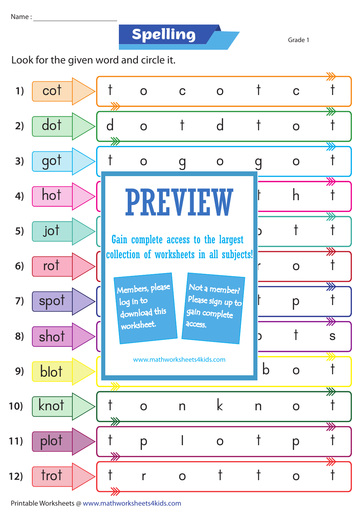**Spelling** Grade 1

Look for the given word and circle it.



Printable Worksheets @ www.mathworksheets4kids.com